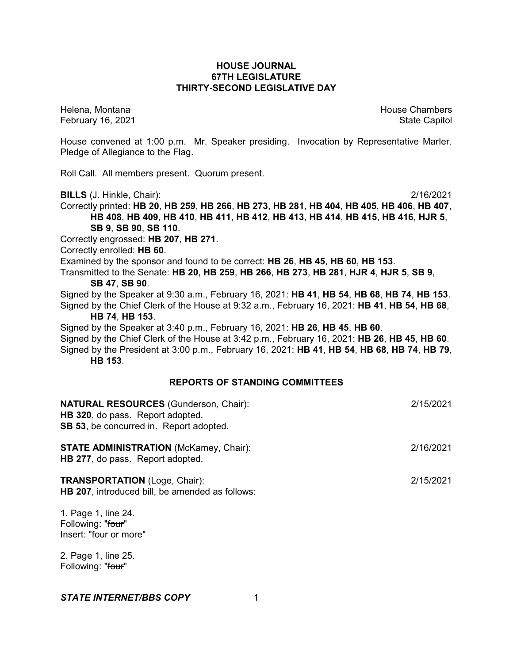# **HOUSE JOURNAL 67TH LEGISLATURE THIRTY-SECOND LEGISLATIVE DAY**

February 16, 2021 **State Capitol** 

Helena, Montana House Chambers Chambers Chambers and House Chambers Chambers Chambers Chambers and House Chambers and House Chambers and House Chambers and House Chambers and House Chambers and House Chambers and House Cha

House convened at 1:00 p.m. Mr. Speaker presiding. Invocation by Representative Marler. Pledge of Allegiance to the Flag.

Roll Call. All members present. Quorum present.

**BILLS** (J. Hinkle, Chair): 2/16/2021

Correctly printed: **HB 20**, **HB 259**, **HB 266**, **HB 273**, **HB 281**, **HB 404**, **HB 405**, **HB 406**, **HB 407**, **HB 408**, **HB 409**, **HB 410**, **HB 411**, **HB 412**, **HB 413**, **HB 414**, **HB 415**, **HB 416**, **HJR 5**, **SB 9**, **SB 90**, **SB 110**.

Correctly engrossed: **HB 207**, **HB 271**.

Correctly enrolled: **HB 60**.

Examined by the sponsor and found to be correct: **HB 26**, **HB 45**, **HB 60**, **HB 153**.

Transmitted to the Senate: **HB 20**, **HB 259**, **HB 266**, **HB 273**, **HB 281**, **HJR 4**, **HJR 5**, **SB 9**, **SB 47**, **SB 90**.

Signed by the Speaker at 9:30 a.m., February 16, 2021: **HB 41**, **HB 54**, **HB 68**, **HB 74**, **HB 153**. Signed by the Chief Clerk of the House at 9:32 a.m., February 16, 2021: **HB 41**, **HB 54**, **HB 68**,

#### **HB 74**, **HB 153**.

Signed by the Speaker at 3:40 p.m., February 16, 2021: **HB 26**, **HB 45**, **HB 60**.

Signed by the Chief Clerk of the House at 3:42 p.m., February 16, 2021: **HB 26**, **HB 45**, **HB 60**. Signed by the President at 3:00 p.m., February 16, 2021: **HB 41**, **HB 54**, **HB 68**, **HB 74**, **HB 79**, **HB 153**.

# **REPORTS OF STANDING COMMITTEES**

| <b>NATURAL RESOURCES</b> (Gunderson, Chair):<br>HB 320, do pass. Report adopted.<br>SB 53, be concurred in. Report adopted. | 2/15/2021 |
|-----------------------------------------------------------------------------------------------------------------------------|-----------|
| <b>STATE ADMINISTRATION (McKamey, Chair):</b><br>HB 277, do pass. Report adopted.                                           | 2/16/2021 |
| <b>TRANSPORTATION (Loge, Chair):</b><br><b>HB 207, introduced bill, be amended as follows:</b>                              | 2/15/2021 |
| 1. Page 1, line 24.                                                                                                         |           |

Following: "four" Insert: "four or more"

2. Page 1, line 25. Following: "four"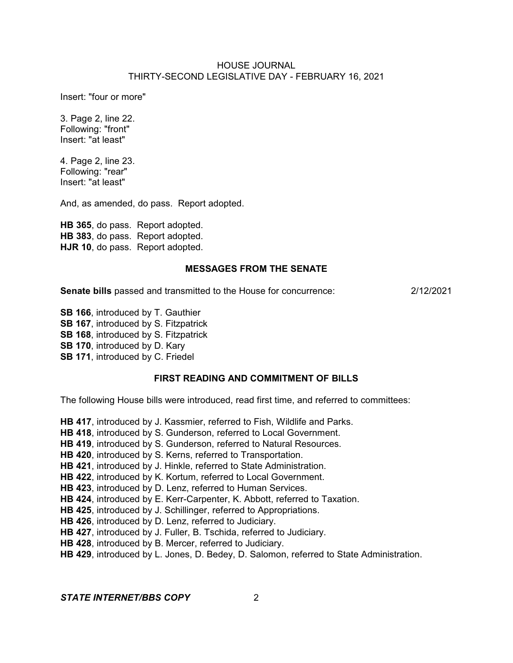Insert: "four or more"

3. Page 2, line 22. Following: "front" Insert: "at least"

4. Page 2, line 23. Following: "rear" Insert: "at least"

And, as amended, do pass. Report adopted.

**HB 365**, do pass. Report adopted. **HB 383**, do pass. Report adopted. **HJR 10**, do pass. Report adopted.

#### **MESSAGES FROM THE SENATE**

**Senate bills** passed and transmitted to the House for concurrence: 2/12/2021

**SB 166**, introduced by T. Gauthier

**SB 167**, introduced by S. Fitzpatrick

**SB 168**, introduced by S. Fitzpatrick

**SB 170**, introduced by D. Kary

**SB 171**, introduced by C. Friedel

#### **FIRST READING AND COMMITMENT OF BILLS**

The following House bills were introduced, read first time, and referred to committees:

**HB 417**, introduced by J. Kassmier, referred to Fish, Wildlife and Parks.

**HB 418**, introduced by S. Gunderson, referred to Local Government.

**HB 419**, introduced by S. Gunderson, referred to Natural Resources.

**HB 420**, introduced by S. Kerns, referred to Transportation.

**HB 421**, introduced by J. Hinkle, referred to State Administration.

**HB 422**, introduced by K. Kortum, referred to Local Government.

**HB 423**, introduced by D. Lenz, referred to Human Services.

**HB 424**, introduced by E. Kerr-Carpenter, K. Abbott, referred to Taxation.

**HB 425**, introduced by J. Schillinger, referred to Appropriations.

**HB 426**, introduced by D. Lenz, referred to Judiciary.

**HB 427**, introduced by J. Fuller, B. Tschida, referred to Judiciary.

**HB 428**, introduced by B. Mercer, referred to Judiciary.

**HB 429**, introduced by L. Jones, D. Bedey, D. Salomon, referred to State Administration.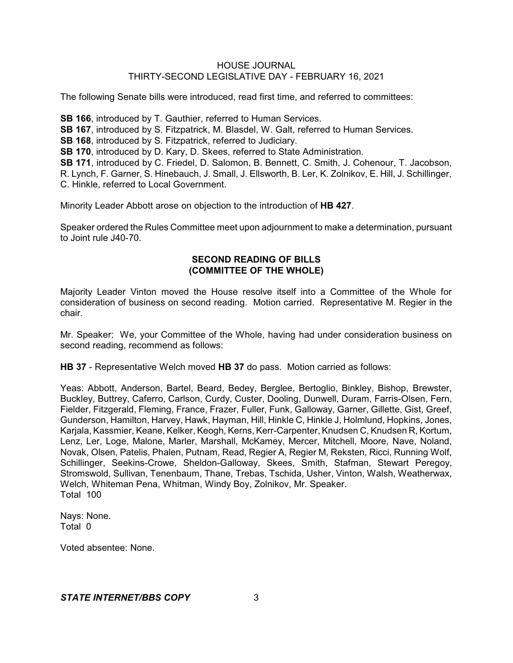The following Senate bills were introduced, read first time, and referred to committees:

**SB 166**, introduced by T. Gauthier, referred to Human Services.

**SB 167**, introduced by S. Fitzpatrick, M. Blasdel, W. Galt, referred to Human Services.

**SB 168**, introduced by S. Fitzpatrick, referred to Judiciary.

**SB 170**, introduced by D. Kary, D. Skees, referred to State Administration.

**SB 171**, introduced by C. Friedel, D. Salomon, B. Bennett, C. Smith, J. Cohenour, T. Jacobson, R. Lynch, F. Garner, S. Hinebauch, J. Small, J. Ellsworth, B. Ler, K. Zolnikov, E. Hill, J. Schillinger, C. Hinkle, referred to Local Government.

Minority Leader Abbott arose on objection to the introduction of **HB 427**.

Speaker ordered the Rules Committee meet upon adjournment to make a determination, pursuant to Joint rule J40-70.

# **SECOND READING OF BILLS (COMMITTEE OF THE WHOLE)**

Majority Leader Vinton moved the House resolve itself into a Committee of the Whole for consideration of business on second reading. Motion carried. Representative M. Regier in the chair.

Mr. Speaker: We, your Committee of the Whole, having had under consideration business on second reading, recommend as follows:

**HB 37** - Representative Welch moved **HB 37** do pass. Motion carried as follows:

Yeas: Abbott, Anderson, Bartel, Beard, Bedey, Berglee, Bertoglio, Binkley, Bishop, Brewster, Buckley, Buttrey, Caferro, Carlson, Curdy, Custer, Dooling, Dunwell, Duram, Farris-Olsen, Fern, Fielder, Fitzgerald, Fleming, France, Frazer, Fuller, Funk, Galloway, Garner, Gillette, Gist, Greef, Gunderson, Hamilton, Harvey, Hawk, Hayman, Hill, Hinkle C, Hinkle J, Holmlund, Hopkins, Jones, Karjala, Kassmier, Keane, Kelker, Keogh, Kerns, Kerr-Carpenter, Knudsen C, Knudsen R, Kortum, Lenz, Ler, Loge, Malone, Marler, Marshall, McKamey, Mercer, Mitchell, Moore, Nave, Noland, Novak, Olsen, Patelis, Phalen, Putnam, Read, Regier A, Regier M, Reksten, Ricci, Running Wolf, Schillinger, Seekins-Crowe, Sheldon-Galloway, Skees, Smith, Stafman, Stewart Peregoy, Stromswold, Sullivan, Tenenbaum, Thane, Trebas, Tschida, Usher, Vinton, Walsh, Weatherwax, Welch, Whiteman Pena, Whitman, Windy Boy, Zolnikov, Mr. Speaker. Total 100

Nays: None. Total 0

Voted absentee: None.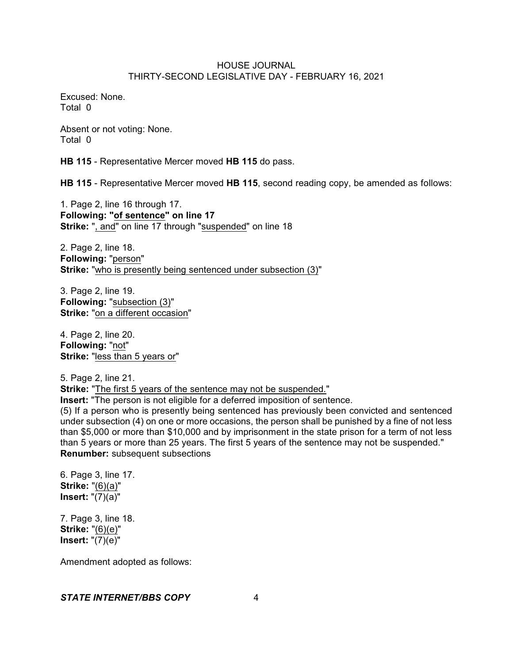Excused: None. Total 0

Absent or not voting: None. Total 0

**HB 115** - Representative Mercer moved **HB 115** do pass.

**HB 115** - Representative Mercer moved **HB 115**, second reading copy, be amended as follows:

1. Page 2, line 16 through 17. **Following: "of sentence" on line 17 Strike:** ", and" on line 17 through "suspended" on line 18

2. Page 2, line 18. **Following:** "person" **Strike:** "who is presently being sentenced under subsection (3)"

3. Page 2, line 19. **Following:** "subsection (3)" **Strike:** "on a different occasion"

4. Page 2, line 20. **Following:** "not" **Strike:** "less than 5 years or"

5. Page 2, line 21. Strike: "The first 5 years of the sentence may not be suspended." **Insert:** "The person is not eligible for a deferred imposition of sentence.

(5) If a person who is presently being sentenced has previously been convicted and sentenced under subsection (4) on one or more occasions, the person shall be punished by a fine of not less than \$5,000 or more than \$10,000 and by imprisonment in the state prison for a term of not less than 5 years or more than 25 years. The first 5 years of the sentence may not be suspended." **Renumber:** subsequent subsections

6. Page 3, line 17. **Strike:** "(6)(a)" **Insert:** "(7)(a)"

7. Page 3, line 18. **Strike:** "(6)(e)" **Insert:** "(7)(e)"

Amendment adopted as follows: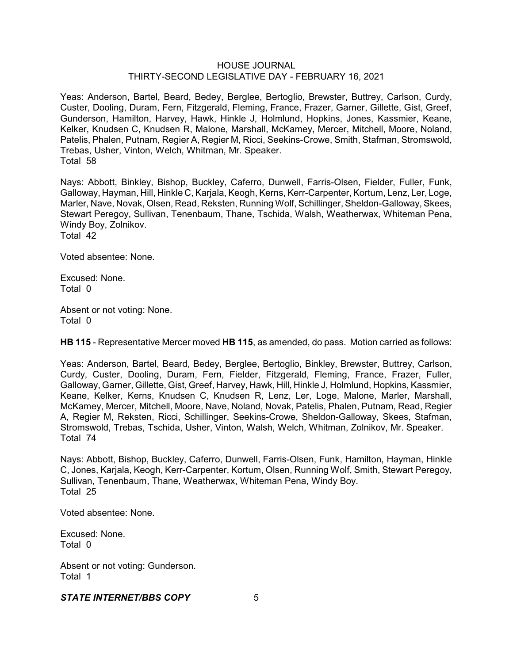Yeas: Anderson, Bartel, Beard, Bedey, Berglee, Bertoglio, Brewster, Buttrey, Carlson, Curdy, Custer, Dooling, Duram, Fern, Fitzgerald, Fleming, France, Frazer, Garner, Gillette, Gist, Greef, Gunderson, Hamilton, Harvey, Hawk, Hinkle J, Holmlund, Hopkins, Jones, Kassmier, Keane, Kelker, Knudsen C, Knudsen R, Malone, Marshall, McKamey, Mercer, Mitchell, Moore, Noland, Patelis, Phalen, Putnam, Regier A, Regier M, Ricci, Seekins-Crowe, Smith, Stafman, Stromswold, Trebas, Usher, Vinton, Welch, Whitman, Mr. Speaker. Total 58

Nays: Abbott, Binkley, Bishop, Buckley, Caferro, Dunwell, Farris-Olsen, Fielder, Fuller, Funk, Galloway, Hayman, Hill, Hinkle C, Karjala, Keogh, Kerns, Kerr-Carpenter, Kortum, Lenz, Ler, Loge, Marler, Nave, Novak, Olsen, Read, Reksten, Running Wolf, Schillinger, Sheldon-Galloway, Skees, Stewart Peregoy, Sullivan, Tenenbaum, Thane, Tschida, Walsh, Weatherwax, Whiteman Pena, Windy Boy, Zolnikov. Total 42

Voted absentee: None.

Excused: None. Total 0

Absent or not voting: None. Total 0

**HB 115** - Representative Mercer moved **HB 115**, as amended, do pass. Motion carried as follows:

Yeas: Anderson, Bartel, Beard, Bedey, Berglee, Bertoglio, Binkley, Brewster, Buttrey, Carlson, Curdy, Custer, Dooling, Duram, Fern, Fielder, Fitzgerald, Fleming, France, Frazer, Fuller, Galloway, Garner, Gillette, Gist, Greef, Harvey, Hawk, Hill, Hinkle J, Holmlund, Hopkins, Kassmier, Keane, Kelker, Kerns, Knudsen C, Knudsen R, Lenz, Ler, Loge, Malone, Marler, Marshall, McKamey, Mercer, Mitchell, Moore, Nave, Noland, Novak, Patelis, Phalen, Putnam, Read, Regier A, Regier M, Reksten, Ricci, Schillinger, Seekins-Crowe, Sheldon-Galloway, Skees, Stafman, Stromswold, Trebas, Tschida, Usher, Vinton, Walsh, Welch, Whitman, Zolnikov, Mr. Speaker. Total 74

Nays: Abbott, Bishop, Buckley, Caferro, Dunwell, Farris-Olsen, Funk, Hamilton, Hayman, Hinkle C, Jones, Karjala, Keogh, Kerr-Carpenter, Kortum, Olsen, Running Wolf, Smith, Stewart Peregoy, Sullivan, Tenenbaum, Thane, Weatherwax, Whiteman Pena, Windy Boy. Total 25

Voted absentee: None.

Excused: None. Total 0

Absent or not voting: Gunderson. Total 1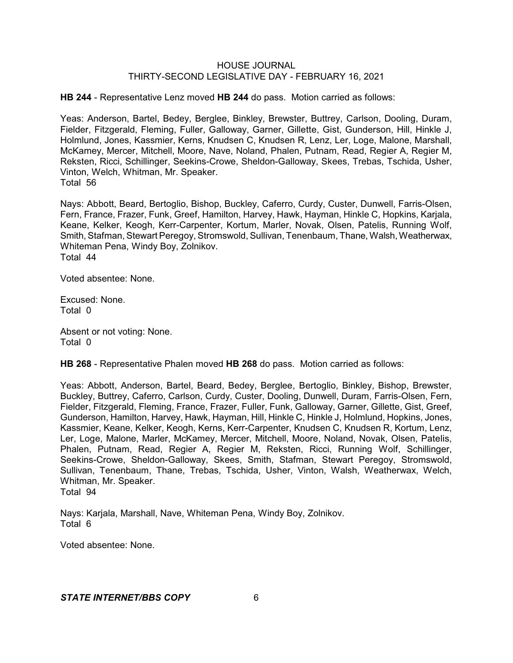**HB 244** - Representative Lenz moved **HB 244** do pass. Motion carried as follows:

Yeas: Anderson, Bartel, Bedey, Berglee, Binkley, Brewster, Buttrey, Carlson, Dooling, Duram, Fielder, Fitzgerald, Fleming, Fuller, Galloway, Garner, Gillette, Gist, Gunderson, Hill, Hinkle J, Holmlund, Jones, Kassmier, Kerns, Knudsen C, Knudsen R, Lenz, Ler, Loge, Malone, Marshall, McKamey, Mercer, Mitchell, Moore, Nave, Noland, Phalen, Putnam, Read, Regier A, Regier M, Reksten, Ricci, Schillinger, Seekins-Crowe, Sheldon-Galloway, Skees, Trebas, Tschida, Usher, Vinton, Welch, Whitman, Mr. Speaker. Total 56

Nays: Abbott, Beard, Bertoglio, Bishop, Buckley, Caferro, Curdy, Custer, Dunwell, Farris-Olsen, Fern, France, Frazer, Funk, Greef, Hamilton, Harvey, Hawk, Hayman, Hinkle C, Hopkins, Karjala, Keane, Kelker, Keogh, Kerr-Carpenter, Kortum, Marler, Novak, Olsen, Patelis, Running Wolf, Smith, Stafman, Stewart Peregoy, Stromswold, Sullivan, Tenenbaum, Thane, Walsh, Weatherwax, Whiteman Pena, Windy Boy, Zolnikov. Total 44

Voted absentee: None.

Excused: None. Total 0

Absent or not voting: None. Total 0

**HB 268** - Representative Phalen moved **HB 268** do pass. Motion carried as follows:

Yeas: Abbott, Anderson, Bartel, Beard, Bedey, Berglee, Bertoglio, Binkley, Bishop, Brewster, Buckley, Buttrey, Caferro, Carlson, Curdy, Custer, Dooling, Dunwell, Duram, Farris-Olsen, Fern, Fielder, Fitzgerald, Fleming, France, Frazer, Fuller, Funk, Galloway, Garner, Gillette, Gist, Greef, Gunderson, Hamilton, Harvey, Hawk, Hayman, Hill, Hinkle C, Hinkle J, Holmlund, Hopkins, Jones, Kassmier, Keane, Kelker, Keogh, Kerns, Kerr-Carpenter, Knudsen C, Knudsen R, Kortum, Lenz, Ler, Loge, Malone, Marler, McKamey, Mercer, Mitchell, Moore, Noland, Novak, Olsen, Patelis, Phalen, Putnam, Read, Regier A, Regier M, Reksten, Ricci, Running Wolf, Schillinger, Seekins-Crowe, Sheldon-Galloway, Skees, Smith, Stafman, Stewart Peregoy, Stromswold, Sullivan, Tenenbaum, Thane, Trebas, Tschida, Usher, Vinton, Walsh, Weatherwax, Welch, Whitman, Mr. Speaker. Total 94

Nays: Karjala, Marshall, Nave, Whiteman Pena, Windy Boy, Zolnikov. Total 6

Voted absentee: None.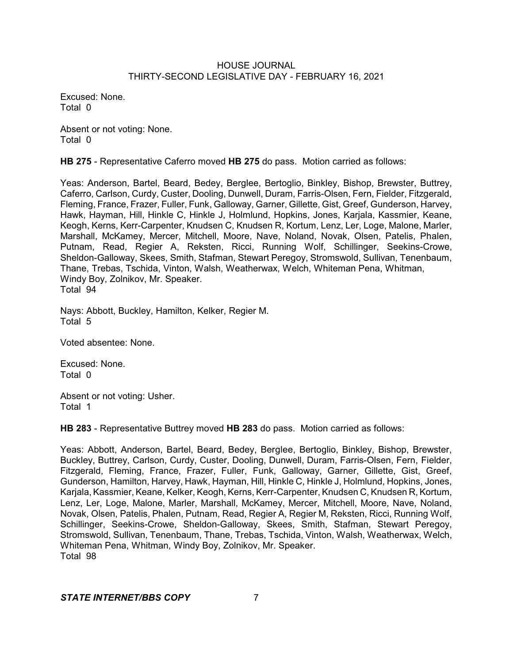Excused: None. Total 0

Absent or not voting: None. Total 0

**HB 275** - Representative Caferro moved **HB 275** do pass. Motion carried as follows:

Yeas: Anderson, Bartel, Beard, Bedey, Berglee, Bertoglio, Binkley, Bishop, Brewster, Buttrey, Caferro, Carlson, Curdy, Custer, Dooling, Dunwell, Duram, Farris-Olsen, Fern, Fielder, Fitzgerald, Fleming, France, Frazer, Fuller, Funk, Galloway, Garner, Gillette, Gist, Greef, Gunderson, Harvey, Hawk, Hayman, Hill, Hinkle C, Hinkle J, Holmlund, Hopkins, Jones, Karjala, Kassmier, Keane, Keogh, Kerns, Kerr-Carpenter, Knudsen C, Knudsen R, Kortum, Lenz, Ler, Loge, Malone, Marler, Marshall, McKamey, Mercer, Mitchell, Moore, Nave, Noland, Novak, Olsen, Patelis, Phalen, Putnam, Read, Regier A, Reksten, Ricci, Running Wolf, Schillinger, Seekins-Crowe, Sheldon-Galloway, Skees, Smith, Stafman, Stewart Peregoy, Stromswold, Sullivan, Tenenbaum, Thane, Trebas, Tschida, Vinton, Walsh, Weatherwax, Welch, Whiteman Pena, Whitman, Windy Boy, Zolnikov, Mr. Speaker. Total 94

Nays: Abbott, Buckley, Hamilton, Kelker, Regier M. Total 5

Voted absentee: None.

Excused: None. Total 0

Absent or not voting: Usher. Total 1

**HB 283** - Representative Buttrey moved **HB 283** do pass. Motion carried as follows:

Yeas: Abbott, Anderson, Bartel, Beard, Bedey, Berglee, Bertoglio, Binkley, Bishop, Brewster, Buckley, Buttrey, Carlson, Curdy, Custer, Dooling, Dunwell, Duram, Farris-Olsen, Fern, Fielder, Fitzgerald, Fleming, France, Frazer, Fuller, Funk, Galloway, Garner, Gillette, Gist, Greef, Gunderson, Hamilton, Harvey, Hawk, Hayman, Hill, Hinkle C, Hinkle J, Holmlund, Hopkins, Jones, Karjala, Kassmier, Keane, Kelker, Keogh, Kerns, Kerr-Carpenter, Knudsen C, Knudsen R, Kortum, Lenz, Ler, Loge, Malone, Marler, Marshall, McKamey, Mercer, Mitchell, Moore, Nave, Noland, Novak, Olsen, Patelis, Phalen, Putnam, Read, Regier A, Regier M, Reksten, Ricci, Running Wolf, Schillinger, Seekins-Crowe, Sheldon-Galloway, Skees, Smith, Stafman, Stewart Peregoy, Stromswold, Sullivan, Tenenbaum, Thane, Trebas, Tschida, Vinton, Walsh, Weatherwax, Welch, Whiteman Pena, Whitman, Windy Boy, Zolnikov, Mr. Speaker. Total 98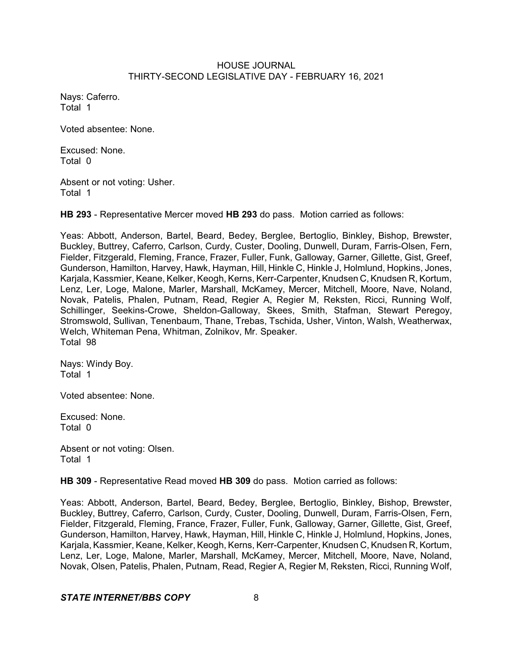Nays: Caferro. Total 1

Voted absentee: None.

Excused: None. Total 0

Absent or not voting: Usher. Total 1

**HB 293** - Representative Mercer moved **HB 293** do pass. Motion carried as follows:

Yeas: Abbott, Anderson, Bartel, Beard, Bedey, Berglee, Bertoglio, Binkley, Bishop, Brewster, Buckley, Buttrey, Caferro, Carlson, Curdy, Custer, Dooling, Dunwell, Duram, Farris-Olsen, Fern, Fielder, Fitzgerald, Fleming, France, Frazer, Fuller, Funk, Galloway, Garner, Gillette, Gist, Greef, Gunderson, Hamilton, Harvey, Hawk, Hayman, Hill, Hinkle C, Hinkle J, Holmlund, Hopkins, Jones, Karjala, Kassmier, Keane, Kelker, Keogh, Kerns, Kerr-Carpenter, Knudsen C, Knudsen R, Kortum, Lenz, Ler, Loge, Malone, Marler, Marshall, McKamey, Mercer, Mitchell, Moore, Nave, Noland, Novak, Patelis, Phalen, Putnam, Read, Regier A, Regier M, Reksten, Ricci, Running Wolf, Schillinger, Seekins-Crowe, Sheldon-Galloway, Skees, Smith, Stafman, Stewart Peregoy, Stromswold, Sullivan, Tenenbaum, Thane, Trebas, Tschida, Usher, Vinton, Walsh, Weatherwax, Welch, Whiteman Pena, Whitman, Zolnikov, Mr. Speaker. Total 98

Nays: Windy Boy. Total 1

Voted absentee: None.

Excused: None. Total 0

Absent or not voting: Olsen. Total 1

**HB 309** - Representative Read moved **HB 309** do pass. Motion carried as follows:

Yeas: Abbott, Anderson, Bartel, Beard, Bedey, Berglee, Bertoglio, Binkley, Bishop, Brewster, Buckley, Buttrey, Caferro, Carlson, Curdy, Custer, Dooling, Dunwell, Duram, Farris-Olsen, Fern, Fielder, Fitzgerald, Fleming, France, Frazer, Fuller, Funk, Galloway, Garner, Gillette, Gist, Greef, Gunderson, Hamilton, Harvey, Hawk, Hayman, Hill, Hinkle C, Hinkle J, Holmlund, Hopkins, Jones, Karjala, Kassmier, Keane, Kelker, Keogh, Kerns, Kerr-Carpenter, Knudsen C, Knudsen R, Kortum, Lenz, Ler, Loge, Malone, Marler, Marshall, McKamey, Mercer, Mitchell, Moore, Nave, Noland, Novak, Olsen, Patelis, Phalen, Putnam, Read, Regier A, Regier M, Reksten, Ricci, Running Wolf,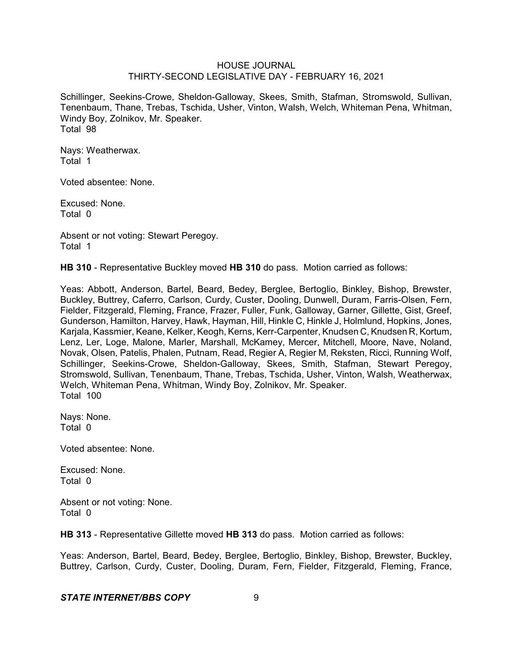Schillinger, Seekins-Crowe, Sheldon-Galloway, Skees, Smith, Stafman, Stromswold, Sullivan, Tenenbaum, Thane, Trebas, Tschida, Usher, Vinton, Walsh, Welch, Whiteman Pena, Whitman, Windy Boy, Zolnikov, Mr. Speaker. Total 98

Nays: Weatherwax. Total 1

Voted absentee: None.

Excused: None. Total 0

Absent or not voting: Stewart Peregoy. Total 1

**HB 310** - Representative Buckley moved **HB 310** do pass. Motion carried as follows:

Yeas: Abbott, Anderson, Bartel, Beard, Bedey, Berglee, Bertoglio, Binkley, Bishop, Brewster, Buckley, Buttrey, Caferro, Carlson, Curdy, Custer, Dooling, Dunwell, Duram, Farris-Olsen, Fern, Fielder, Fitzgerald, Fleming, France, Frazer, Fuller, Funk, Galloway, Garner, Gillette, Gist, Greef, Gunderson, Hamilton, Harvey, Hawk, Hayman, Hill, Hinkle C, Hinkle J, Holmlund, Hopkins, Jones, Karjala, Kassmier, Keane, Kelker, Keogh, Kerns, Kerr-Carpenter, Knudsen C, Knudsen R, Kortum, Lenz, Ler, Loge, Malone, Marler, Marshall, McKamey, Mercer, Mitchell, Moore, Nave, Noland, Novak, Olsen, Patelis, Phalen, Putnam, Read, Regier A, Regier M, Reksten, Ricci, Running Wolf, Schillinger, Seekins-Crowe, Sheldon-Galloway, Skees, Smith, Stafman, Stewart Peregoy, Stromswold, Sullivan, Tenenbaum, Thane, Trebas, Tschida, Usher, Vinton, Walsh, Weatherwax, Welch, Whiteman Pena, Whitman, Windy Boy, Zolnikov, Mr. Speaker. Total 100

Nays: None. Total 0

Voted absentee: None.

Excused: None. Total 0

Absent or not voting: None. Total 0

**HB 313** - Representative Gillette moved **HB 313** do pass. Motion carried as follows:

Yeas: Anderson, Bartel, Beard, Bedey, Berglee, Bertoglio, Binkley, Bishop, Brewster, Buckley, Buttrey, Carlson, Curdy, Custer, Dooling, Duram, Fern, Fielder, Fitzgerald, Fleming, France,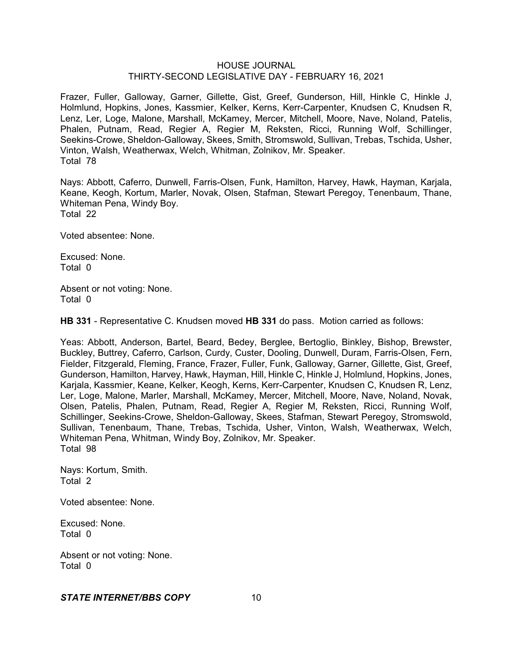Frazer, Fuller, Galloway, Garner, Gillette, Gist, Greef, Gunderson, Hill, Hinkle C, Hinkle J, Holmlund, Hopkins, Jones, Kassmier, Kelker, Kerns, Kerr-Carpenter, Knudsen C, Knudsen R, Lenz, Ler, Loge, Malone, Marshall, McKamey, Mercer, Mitchell, Moore, Nave, Noland, Patelis, Phalen, Putnam, Read, Regier A, Regier M, Reksten, Ricci, Running Wolf, Schillinger, Seekins-Crowe, Sheldon-Galloway, Skees, Smith, Stromswold, Sullivan, Trebas, Tschida, Usher, Vinton, Walsh, Weatherwax, Welch, Whitman, Zolnikov, Mr. Speaker. Total 78

Nays: Abbott, Caferro, Dunwell, Farris-Olsen, Funk, Hamilton, Harvey, Hawk, Hayman, Karjala, Keane, Keogh, Kortum, Marler, Novak, Olsen, Stafman, Stewart Peregoy, Tenenbaum, Thane, Whiteman Pena, Windy Boy. Total 22

Voted absentee: None.

Excused: None. Total 0

Absent or not voting: None. Total 0

**HB 331** - Representative C. Knudsen moved **HB 331** do pass. Motion carried as follows:

Yeas: Abbott, Anderson, Bartel, Beard, Bedey, Berglee, Bertoglio, Binkley, Bishop, Brewster, Buckley, Buttrey, Caferro, Carlson, Curdy, Custer, Dooling, Dunwell, Duram, Farris-Olsen, Fern, Fielder, Fitzgerald, Fleming, France, Frazer, Fuller, Funk, Galloway, Garner, Gillette, Gist, Greef, Gunderson, Hamilton, Harvey, Hawk, Hayman, Hill, Hinkle C, Hinkle J, Holmlund, Hopkins, Jones, Kariala, Kassmier, Keane, Kelker, Keogh, Kerns, Kerr-Carpenter, Knudsen C, Knudsen R, Lenz, Ler, Loge, Malone, Marler, Marshall, McKamey, Mercer, Mitchell, Moore, Nave, Noland, Novak, Olsen, Patelis, Phalen, Putnam, Read, Regier A, Regier M, Reksten, Ricci, Running Wolf, Schillinger, Seekins-Crowe, Sheldon-Galloway, Skees, Stafman, Stewart Peregoy, Stromswold, Sullivan, Tenenbaum, Thane, Trebas, Tschida, Usher, Vinton, Walsh, Weatherwax, Welch, Whiteman Pena, Whitman, Windy Boy, Zolnikov, Mr. Speaker. Total 98

Nays: Kortum, Smith. Total 2

Voted absentee: None.

Excused: None. Total 0

Absent or not voting: None. Total 0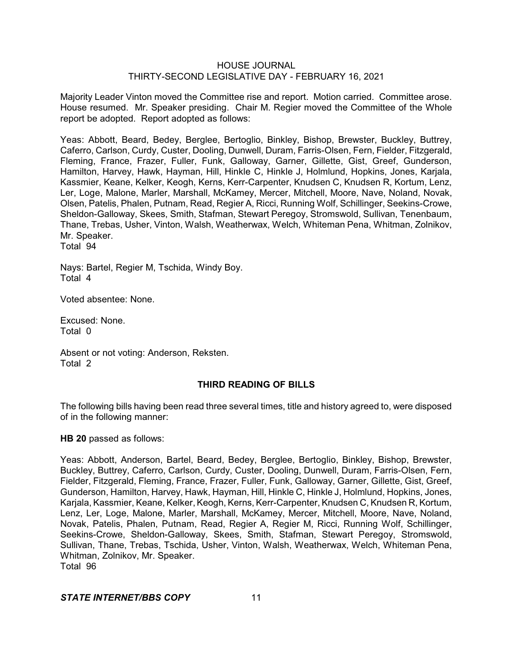Majority Leader Vinton moved the Committee rise and report. Motion carried. Committee arose. House resumed. Mr. Speaker presiding. Chair M. Regier moved the Committee of the Whole report be adopted. Report adopted as follows:

Yeas: Abbott, Beard, Bedey, Berglee, Bertoglio, Binkley, Bishop, Brewster, Buckley, Buttrey, Caferro, Carlson, Curdy, Custer, Dooling, Dunwell, Duram, Farris-Olsen, Fern, Fielder, Fitzgerald, Fleming, France, Frazer, Fuller, Funk, Galloway, Garner, Gillette, Gist, Greef, Gunderson, Hamilton, Harvey, Hawk, Hayman, Hill, Hinkle C, Hinkle J, Holmlund, Hopkins, Jones, Karjala, Kassmier, Keane, Kelker, Keogh, Kerns, Kerr-Carpenter, Knudsen C, Knudsen R, Kortum, Lenz, Ler, Loge, Malone, Marler, Marshall, McKamey, Mercer, Mitchell, Moore, Nave, Noland, Novak, Olsen, Patelis, Phalen, Putnam, Read, Regier A, Ricci, Running Wolf, Schillinger, Seekins-Crowe, Sheldon-Galloway, Skees, Smith, Stafman, Stewart Peregoy, Stromswold, Sullivan, Tenenbaum, Thane, Trebas, Usher, Vinton, Walsh, Weatherwax, Welch, Whiteman Pena, Whitman, Zolnikov, Mr. Speaker. Total 94

Nays: Bartel, Regier M, Tschida, Windy Boy. Total 4

Voted absentee: None.

Excused: None. Total 0

Absent or not voting: Anderson, Reksten. Total 2

# **THIRD READING OF BILLS**

The following bills having been read three several times, title and history agreed to, were disposed of in the following manner:

**HB 20** passed as follows:

Yeas: Abbott, Anderson, Bartel, Beard, Bedey, Berglee, Bertoglio, Binkley, Bishop, Brewster, Buckley, Buttrey, Caferro, Carlson, Curdy, Custer, Dooling, Dunwell, Duram, Farris-Olsen, Fern, Fielder, Fitzgerald, Fleming, France, Frazer, Fuller, Funk, Galloway, Garner, Gillette, Gist, Greef, Gunderson, Hamilton, Harvey, Hawk, Hayman, Hill, Hinkle C, Hinkle J, Holmlund, Hopkins, Jones, Karjala, Kassmier, Keane, Kelker, Keogh, Kerns, Kerr-Carpenter, Knudsen C, Knudsen R, Kortum, Lenz, Ler, Loge, Malone, Marler, Marshall, McKamey, Mercer, Mitchell, Moore, Nave, Noland, Novak, Patelis, Phalen, Putnam, Read, Regier A, Regier M, Ricci, Running Wolf, Schillinger, Seekins-Crowe, Sheldon-Galloway, Skees, Smith, Stafman, Stewart Peregoy, Stromswold, Sullivan, Thane, Trebas, Tschida, Usher, Vinton, Walsh, Weatherwax, Welch, Whiteman Pena, Whitman, Zolnikov, Mr. Speaker. Total 96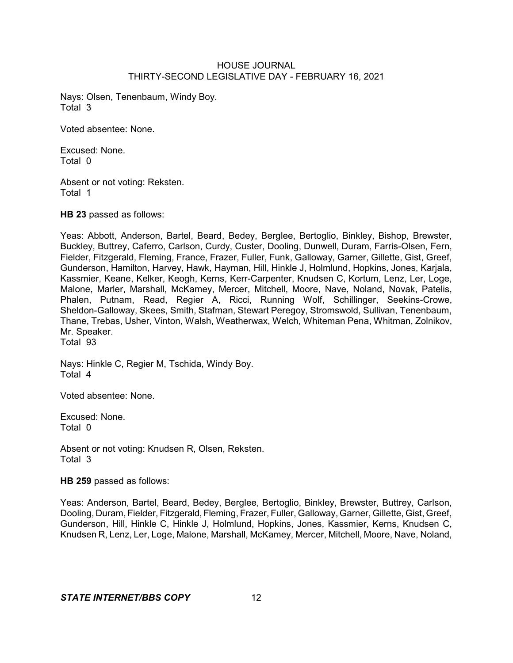Nays: Olsen, Tenenbaum, Windy Boy. Total 3

Voted absentee: None.

Excused: None. Total 0

Absent or not voting: Reksten. Total 1

**HB 23** passed as follows:

Yeas: Abbott, Anderson, Bartel, Beard, Bedey, Berglee, Bertoglio, Binkley, Bishop, Brewster, Buckley, Buttrey, Caferro, Carlson, Curdy, Custer, Dooling, Dunwell, Duram, Farris-Olsen, Fern, Fielder, Fitzgerald, Fleming, France, Frazer, Fuller, Funk, Galloway, Garner, Gillette, Gist, Greef, Gunderson, Hamilton, Harvey, Hawk, Hayman, Hill, Hinkle J, Holmlund, Hopkins, Jones, Karjala, Kassmier, Keane, Kelker, Keogh, Kerns, Kerr-Carpenter, Knudsen C, Kortum, Lenz, Ler, Loge, Malone, Marler, Marshall, McKamey, Mercer, Mitchell, Moore, Nave, Noland, Novak, Patelis, Phalen, Putnam, Read, Regier A, Ricci, Running Wolf, Schillinger, Seekins-Crowe, Sheldon-Galloway, Skees, Smith, Stafman, Stewart Peregoy, Stromswold, Sullivan, Tenenbaum, Thane, Trebas, Usher, Vinton, Walsh, Weatherwax, Welch, Whiteman Pena, Whitman, Zolnikov, Mr. Speaker. Total 93

Nays: Hinkle C, Regier M, Tschida, Windy Boy. Total 4

Voted absentee: None.

Excused: None. Total 0

Absent or not voting: Knudsen R, Olsen, Reksten. Total 3

**HB 259** passed as follows:

Yeas: Anderson, Bartel, Beard, Bedey, Berglee, Bertoglio, Binkley, Brewster, Buttrey, Carlson, Dooling, Duram, Fielder, Fitzgerald, Fleming, Frazer, Fuller, Galloway, Garner, Gillette, Gist, Greef, Gunderson, Hill, Hinkle C, Hinkle J, Holmlund, Hopkins, Jones, Kassmier, Kerns, Knudsen C, Knudsen R, Lenz, Ler, Loge, Malone, Marshall, McKamey, Mercer, Mitchell, Moore, Nave, Noland,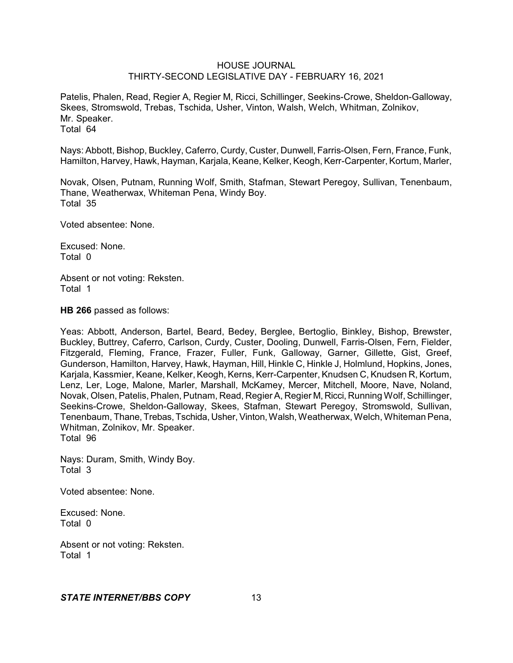Patelis, Phalen, Read, Regier A, Regier M, Ricci, Schillinger, Seekins-Crowe, Sheldon-Galloway, Skees, Stromswold, Trebas, Tschida, Usher, Vinton, Walsh, Welch, Whitman, Zolnikov, Mr. Speaker. Total 64

Nays: Abbott, Bishop, Buckley, Caferro, Curdy, Custer, Dunwell, Farris-Olsen, Fern, France, Funk, Hamilton, Harvey, Hawk, Hayman, Karjala, Keane, Kelker, Keogh, Kerr-Carpenter, Kortum, Marler,

Novak, Olsen, Putnam, Running Wolf, Smith, Stafman, Stewart Peregoy, Sullivan, Tenenbaum, Thane, Weatherwax, Whiteman Pena, Windy Boy. Total 35

Voted absentee: None.

Excused: None. Total 0

Absent or not voting: Reksten. Total 1

**HB 266** passed as follows:

Yeas: Abbott, Anderson, Bartel, Beard, Bedey, Berglee, Bertoglio, Binkley, Bishop, Brewster, Buckley, Buttrey, Caferro, Carlson, Curdy, Custer, Dooling, Dunwell, Farris-Olsen, Fern, Fielder, Fitzgerald, Fleming, France, Frazer, Fuller, Funk, Galloway, Garner, Gillette, Gist, Greef, Gunderson, Hamilton, Harvey, Hawk, Hayman, Hill, Hinkle C, Hinkle J, Holmlund, Hopkins, Jones, Karjala, Kassmier, Keane, Kelker, Keogh, Kerns, Kerr-Carpenter, Knudsen C, Knudsen R, Kortum, Lenz, Ler, Loge, Malone, Marler, Marshall, McKamey, Mercer, Mitchell, Moore, Nave, Noland, Novak, Olsen, Patelis, Phalen, Putnam, Read, Regier A, Regier M, Ricci, Running Wolf, Schillinger, Seekins-Crowe, Sheldon-Galloway, Skees, Stafman, Stewart Peregoy, Stromswold, Sullivan, Tenenbaum, Thane, Trebas, Tschida, Usher,Vinton,Walsh, Weatherwax, Welch, Whiteman Pena, Whitman, Zolnikov, Mr. Speaker. Total 96

Nays: Duram, Smith, Windy Boy. Total 3

Voted absentee: None.

Excused: None. Total 0

Absent or not voting: Reksten. Total 1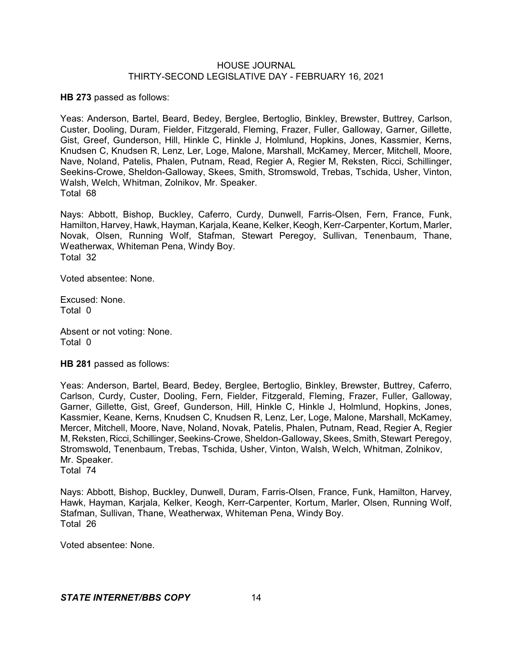**HB 273** passed as follows:

Yeas: Anderson, Bartel, Beard, Bedey, Berglee, Bertoglio, Binkley, Brewster, Buttrey, Carlson, Custer, Dooling, Duram, Fielder, Fitzgerald, Fleming, Frazer, Fuller, Galloway, Garner, Gillette, Gist, Greef, Gunderson, Hill, Hinkle C, Hinkle J, Holmlund, Hopkins, Jones, Kassmier, Kerns, Knudsen C, Knudsen R, Lenz, Ler, Loge, Malone, Marshall, McKamey, Mercer, Mitchell, Moore, Nave, Noland, Patelis, Phalen, Putnam, Read, Regier A, Regier M, Reksten, Ricci, Schillinger, Seekins-Crowe, Sheldon-Galloway, Skees, Smith, Stromswold, Trebas, Tschida, Usher, Vinton, Walsh, Welch, Whitman, Zolnikov, Mr. Speaker. Total 68

Nays: Abbott, Bishop, Buckley, Caferro, Curdy, Dunwell, Farris-Olsen, Fern, France, Funk, Hamilton, Harvey, Hawk, Hayman, Karjala, Keane, Kelker, Keogh, Kerr-Carpenter, Kortum, Marler, Novak, Olsen, Running Wolf, Stafman, Stewart Peregoy, Sullivan, Tenenbaum, Thane, Weatherwax, Whiteman Pena, Windy Boy. Total 32

Voted absentee: None.

Excused: None. Total 0

Absent or not voting: None. Total 0

**HB 281** passed as follows:

Yeas: Anderson, Bartel, Beard, Bedey, Berglee, Bertoglio, Binkley, Brewster, Buttrey, Caferro, Carlson, Curdy, Custer, Dooling, Fern, Fielder, Fitzgerald, Fleming, Frazer, Fuller, Galloway, Garner, Gillette, Gist, Greef, Gunderson, Hill, Hinkle C, Hinkle J, Holmlund, Hopkins, Jones, Kassmier, Keane, Kerns, Knudsen C, Knudsen R, Lenz, Ler, Loge, Malone, Marshall, McKamey, Mercer, Mitchell, Moore, Nave, Noland, Novak, Patelis, Phalen, Putnam, Read, Regier A, Regier M, Reksten, Ricci, Schillinger, Seekins-Crowe, Sheldon-Galloway, Skees, Smith, Stewart Peregoy, Stromswold, Tenenbaum, Trebas, Tschida, Usher, Vinton, Walsh, Welch, Whitman, Zolnikov, Mr. Speaker.

Total 74

Nays: Abbott, Bishop, Buckley, Dunwell, Duram, Farris-Olsen, France, Funk, Hamilton, Harvey, Hawk, Hayman, Karjala, Kelker, Keogh, Kerr-Carpenter, Kortum, Marler, Olsen, Running Wolf, Stafman, Sullivan, Thane, Weatherwax, Whiteman Pena, Windy Boy. Total 26

Voted absentee: None.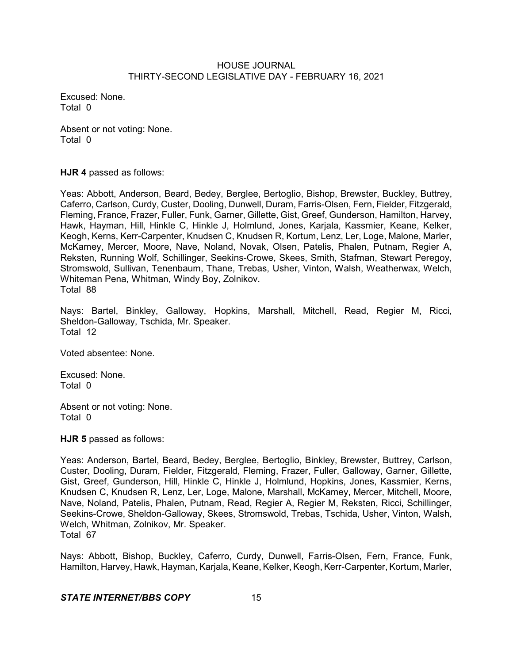Excused: None. Total 0

Absent or not voting: None. Total 0

**HJR 4** passed as follows:

Yeas: Abbott, Anderson, Beard, Bedey, Berglee, Bertoglio, Bishop, Brewster, Buckley, Buttrey, Caferro, Carlson, Curdy, Custer, Dooling, Dunwell, Duram, Farris-Olsen, Fern, Fielder, Fitzgerald, Fleming, France, Frazer, Fuller, Funk, Garner, Gillette, Gist, Greef, Gunderson, Hamilton, Harvey, Hawk, Hayman, Hill, Hinkle C, Hinkle J, Holmlund, Jones, Karjala, Kassmier, Keane, Kelker, Keogh, Kerns, Kerr-Carpenter, Knudsen C, Knudsen R, Kortum, Lenz, Ler, Loge, Malone, Marler, McKamey, Mercer, Moore, Nave, Noland, Novak, Olsen, Patelis, Phalen, Putnam, Regier A, Reksten, Running Wolf, Schillinger, Seekins-Crowe, Skees, Smith, Stafman, Stewart Peregoy, Stromswold, Sullivan, Tenenbaum, Thane, Trebas, Usher, Vinton, Walsh, Weatherwax, Welch, Whiteman Pena, Whitman, Windy Boy, Zolnikov. Total 88

Nays: Bartel, Binkley, Galloway, Hopkins, Marshall, Mitchell, Read, Regier M, Ricci, Sheldon-Galloway, Tschida, Mr. Speaker. Total 12

Voted absentee: None.

Excused: None. Total 0

Absent or not voting: None. Total 0

**HJR 5** passed as follows:

Yeas: Anderson, Bartel, Beard, Bedey, Berglee, Bertoglio, Binkley, Brewster, Buttrey, Carlson, Custer, Dooling, Duram, Fielder, Fitzgerald, Fleming, Frazer, Fuller, Galloway, Garner, Gillette, Gist, Greef, Gunderson, Hill, Hinkle C, Hinkle J, Holmlund, Hopkins, Jones, Kassmier, Kerns, Knudsen C, Knudsen R, Lenz, Ler, Loge, Malone, Marshall, McKamey, Mercer, Mitchell, Moore, Nave, Noland, Patelis, Phalen, Putnam, Read, Regier A, Regier M, Reksten, Ricci, Schillinger, Seekins-Crowe, Sheldon-Galloway, Skees, Stromswold, Trebas, Tschida, Usher, Vinton, Walsh, Welch, Whitman, Zolnikov, Mr. Speaker. Total 67

Nays: Abbott, Bishop, Buckley, Caferro, Curdy, Dunwell, Farris-Olsen, Fern, France, Funk, Hamilton, Harvey, Hawk, Hayman, Karjala, Keane, Kelker, Keogh, Kerr-Carpenter, Kortum, Marler,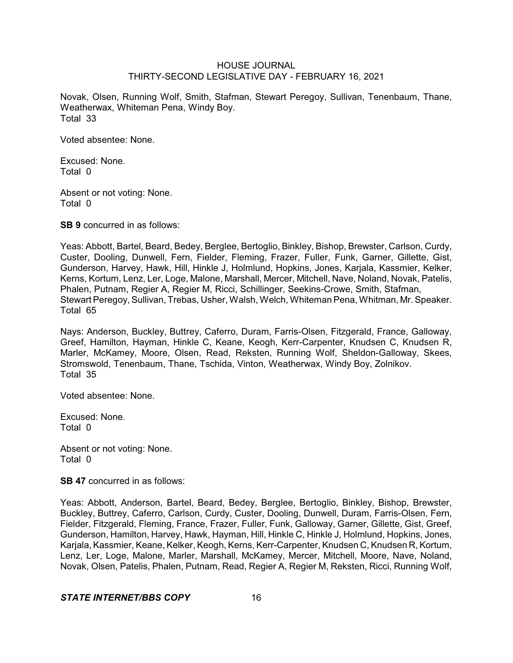Novak, Olsen, Running Wolf, Smith, Stafman, Stewart Peregoy, Sullivan, Tenenbaum, Thane, Weatherwax, Whiteman Pena, Windy Boy. Total 33

Voted absentee: None.

Excused: None. Total 0

Absent or not voting: None. Total 0

**SB 9** concurred in as follows:

Yeas: Abbott, Bartel, Beard, Bedey, Berglee, Bertoglio, Binkley, Bishop, Brewster, Carlson, Curdy, Custer, Dooling, Dunwell, Fern, Fielder, Fleming, Frazer, Fuller, Funk, Garner, Gillette, Gist, Gunderson, Harvey, Hawk, Hill, Hinkle J, Holmlund, Hopkins, Jones, Karjala, Kassmier, Kelker, Kerns, Kortum, Lenz, Ler, Loge, Malone, Marshall, Mercer, Mitchell, Nave, Noland, Novak, Patelis, Phalen, Putnam, Regier A, Regier M, Ricci, Schillinger, Seekins-Crowe, Smith, Stafman, Stewart Peregoy, Sullivan, Trebas, Usher, Walsh, Welch, Whiteman Pena, Whitman, Mr. Speaker. Total 65

Nays: Anderson, Buckley, Buttrey, Caferro, Duram, Farris-Olsen, Fitzgerald, France, Galloway, Greef, Hamilton, Hayman, Hinkle C, Keane, Keogh, Kerr-Carpenter, Knudsen C, Knudsen R, Marler, McKamey, Moore, Olsen, Read, Reksten, Running Wolf, Sheldon-Galloway, Skees, Stromswold, Tenenbaum, Thane, Tschida, Vinton, Weatherwax, Windy Boy, Zolnikov. Total 35

Voted absentee: None.

Excused: None. Total 0

Absent or not voting: None. Total 0

**SB 47** concurred in as follows:

Yeas: Abbott, Anderson, Bartel, Beard, Bedey, Berglee, Bertoglio, Binkley, Bishop, Brewster, Buckley, Buttrey, Caferro, Carlson, Curdy, Custer, Dooling, Dunwell, Duram, Farris-Olsen, Fern, Fielder, Fitzgerald, Fleming, France, Frazer, Fuller, Funk, Galloway, Garner, Gillette, Gist, Greef, Gunderson, Hamilton, Harvey, Hawk, Hayman, Hill, Hinkle C, Hinkle J, Holmlund, Hopkins, Jones, Karjala, Kassmier, Keane, Kelker, Keogh, Kerns, Kerr-Carpenter, Knudsen C, Knudsen R, Kortum, Lenz, Ler, Loge, Malone, Marler, Marshall, McKamey, Mercer, Mitchell, Moore, Nave, Noland, Novak, Olsen, Patelis, Phalen, Putnam, Read, Regier A, Regier M, Reksten, Ricci, Running Wolf,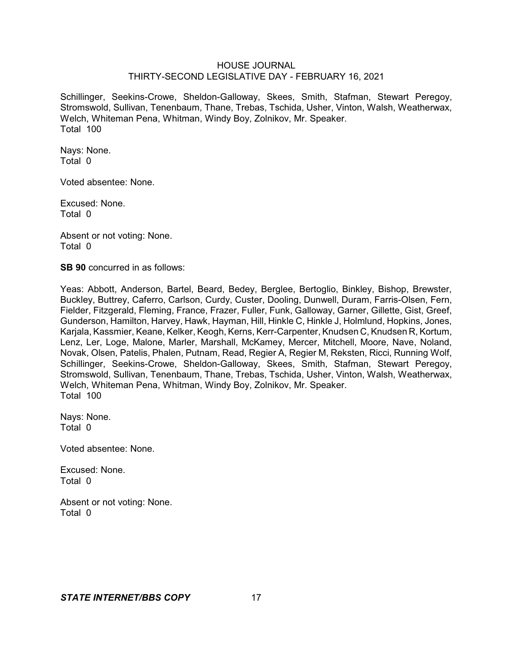Schillinger, Seekins-Crowe, Sheldon-Galloway, Skees, Smith, Stafman, Stewart Peregoy, Stromswold, Sullivan, Tenenbaum, Thane, Trebas, Tschida, Usher, Vinton, Walsh, Weatherwax, Welch, Whiteman Pena, Whitman, Windy Boy, Zolnikov, Mr. Speaker. Total 100

Nays: None. Total 0

Voted absentee: None.

Excused: None. Total 0

Absent or not voting: None. Total 0

**SB 90** concurred in as follows:

Yeas: Abbott, Anderson, Bartel, Beard, Bedey, Berglee, Bertoglio, Binkley, Bishop, Brewster, Buckley, Buttrey, Caferro, Carlson, Curdy, Custer, Dooling, Dunwell, Duram, Farris-Olsen, Fern, Fielder, Fitzgerald, Fleming, France, Frazer, Fuller, Funk, Galloway, Garner, Gillette, Gist, Greef, Gunderson, Hamilton, Harvey, Hawk, Hayman, Hill, Hinkle C, Hinkle J, Holmlund, Hopkins, Jones, Karjala, Kassmier, Keane, Kelker, Keogh, Kerns, Kerr-Carpenter, Knudsen C, Knudsen R, Kortum, Lenz, Ler, Loge, Malone, Marler, Marshall, McKamey, Mercer, Mitchell, Moore, Nave, Noland, Novak, Olsen, Patelis, Phalen, Putnam, Read, Regier A, Regier M, Reksten, Ricci, Running Wolf, Schillinger, Seekins-Crowe, Sheldon-Galloway, Skees, Smith, Stafman, Stewart Peregoy, Stromswold, Sullivan, Tenenbaum, Thane, Trebas, Tschida, Usher, Vinton, Walsh, Weatherwax, Welch, Whiteman Pena, Whitman, Windy Boy, Zolnikov, Mr. Speaker. Total 100

Nays: None. Total 0

Voted absentee: None.

Excused: None. Total 0

Absent or not voting: None. Total 0